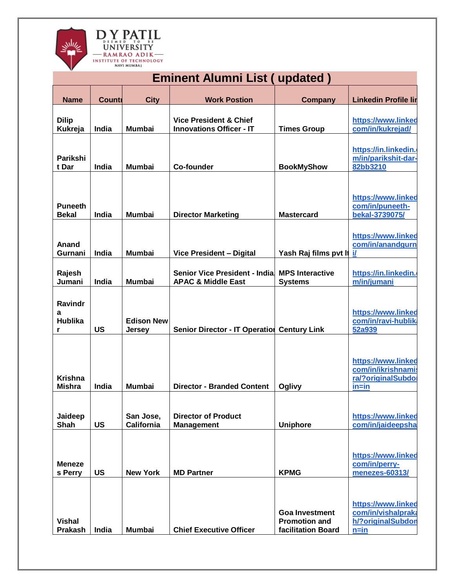

| <b>Eminent Alumni List (updated)</b> |               |                                    |                                                                      |                                                                     |                                                                            |  |
|--------------------------------------|---------------|------------------------------------|----------------------------------------------------------------------|---------------------------------------------------------------------|----------------------------------------------------------------------------|--|
| <b>Name</b>                          | <b>Counti</b> | <b>City</b>                        | <b>Work Postion</b>                                                  | <b>Company</b>                                                      | <b>Linkedin Profile lin</b>                                                |  |
| <b>Dilip</b><br>Kukreja              | India         | <b>Mumbai</b>                      | <b>Vice President &amp; Chief</b><br><b>Innovations Officer - IT</b> | <b>Times Group</b>                                                  | https://www.linked<br>com/in/kukrejad/                                     |  |
| Parikshi<br>t Dar                    | India         | <b>Mumbai</b>                      | <b>Co-founder</b>                                                    | <b>BookMyShow</b>                                                   | https://in.linkedin.<br>m/in/parikshit-dar-<br>82bb3210                    |  |
| <b>Puneeth</b><br><b>Bekal</b>       | India         | <b>Mumbai</b>                      | <b>Director Marketing</b>                                            | <b>Mastercard</b>                                                   | https://www.linked<br>com/in/puneeth-<br>bekal-3739075/                    |  |
| Anand<br>Gurnani                     | India         | <b>Mumbai</b>                      | Vice President - Digital                                             | Yash Raj films pvt It                                               | https://www.linked<br>com/in/anandgurn<br>$\mathbf i$                      |  |
| Rajesh<br>Jumani                     | India         | <b>Mumbai</b>                      | Senior Vice President - India<br><b>APAC &amp; Middle East</b>       | <b>MPS Interactive</b><br><b>Systems</b>                            | https://in.linkedin.<br>m/in/jumani                                        |  |
| Ravindr<br>a<br><b>Hublika</b><br>r  | <b>US</b>     | <b>Edison New</b><br><b>Jersey</b> | Senior Director - IT Operation Century Link                          |                                                                     | https://www.linked<br>com/in/ravi-hublik<br>52a939                         |  |
| <b>Krishna</b><br><b>Mishra</b>      | India         | <b>Mumbai</b>                      | <b>Director - Branded Content</b>                                    | Oglivy                                                              | https://www.linked<br>com/in/ikrishnamis<br>ra/?originalSubdo<br>$in = in$ |  |
| Jaideep<br>Shah                      | <b>US</b>     | San Jose,<br><b>California</b>     | <b>Director of Product</b><br><b>Management</b>                      | <b>Uniphore</b>                                                     | https://www.linked<br>com/in/jaideepsha                                    |  |
| <b>Meneze</b><br>s Perry             | <b>US</b>     | <b>New York</b>                    | <b>MD Partner</b>                                                    | <b>KPMG</b>                                                         | https://www.linked<br>com/in/perry-<br>menezes-60313/                      |  |
| <b>Vishal</b><br><b>Prakash</b>      | India         | <b>Mumbai</b>                      | <b>Chief Executive Officer</b>                                       | <b>Goa Investment</b><br><b>Promotion and</b><br>facilitation Board | https://www.linked<br>com/in/vishalpraka<br>h/?originalSubdon<br>$n = in$  |  |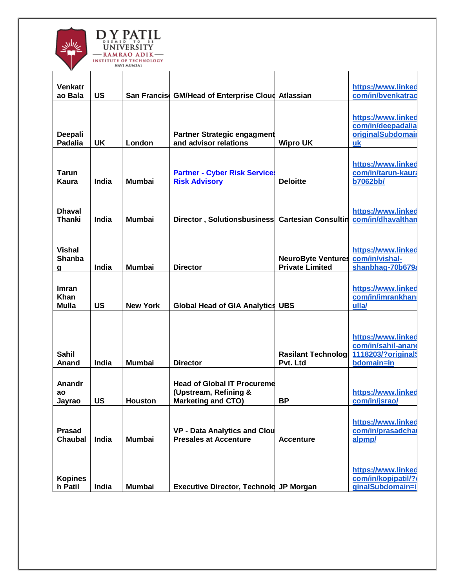

| v                              |           |                 |                                                                     |                                        |                                         |
|--------------------------------|-----------|-----------------|---------------------------------------------------------------------|----------------------------------------|-----------------------------------------|
|                                |           |                 |                                                                     |                                        |                                         |
| Venkatr<br>ao Bala             | <b>US</b> |                 | San Francis GM/Head of Enterprise Cloud Atlassian                   |                                        | https://www.linked<br>com/in/bvenkatrac |
|                                |           |                 |                                                                     |                                        |                                         |
|                                |           |                 |                                                                     |                                        | https://www.linked                      |
|                                |           |                 |                                                                     |                                        | com/in/deepadalia                       |
| Deepali                        |           |                 | <b>Partner Strategic engagment</b>                                  |                                        | originalSubdomai                        |
| <b>Padalia</b>                 | <b>UK</b> | London          | and advisor relations                                               | <b>Wipro UK</b>                        | uk                                      |
|                                |           |                 |                                                                     |                                        | https://www.linked                      |
| Tarun                          |           |                 | <b>Partner - Cyber Risk Services</b>                                |                                        | com/in/tarun-kaura                      |
| Kaura                          | India     | <b>Mumbai</b>   | <b>Risk Advisory</b>                                                | <b>Deloitte</b>                        | <b>b7062bb/</b>                         |
|                                |           |                 |                                                                     |                                        |                                         |
|                                |           |                 |                                                                     |                                        |                                         |
| <b>Dhaval</b><br><b>Thanki</b> | India     | <b>Mumbai</b>   | Director, Solutionsbusiness Cartesian Consultin                     |                                        | https://www.linked<br>com/in/dhavalthan |
|                                |           |                 |                                                                     |                                        |                                         |
|                                |           |                 |                                                                     |                                        |                                         |
| <b>Vishal</b>                  |           |                 |                                                                     |                                        | https://www.linked                      |
| <b>Shanba</b>                  |           |                 |                                                                     | <b>NeuroByte Ventures</b>              | com/in/vishal-                          |
| g                              | India     | <b>Mumbai</b>   | <b>Director</b>                                                     | <b>Private Limited</b>                 | shanbhag-70b679a                        |
|                                |           |                 |                                                                     |                                        |                                         |
| Imran<br>Khan                  |           |                 |                                                                     |                                        | https://www.linked<br>com/in/imrankhan  |
| <b>Mulla</b>                   | <b>US</b> | <b>New York</b> | <b>Global Head of GIA Analytics UBS</b>                             |                                        | ulla/                                   |
|                                |           |                 |                                                                     |                                        |                                         |
|                                |           |                 |                                                                     |                                        |                                         |
|                                |           |                 |                                                                     |                                        | https://www.linked                      |
|                                |           |                 |                                                                     |                                        | com/in/sahil-anano                      |
| <b>Sahil</b><br>Anand          | India     | <b>Mumbai</b>   | <b>Director</b>                                                     | <b>Rasilant Technologi</b><br>Pvt. Ltd | 1118203/?original<br>bdomain=in         |
|                                |           |                 |                                                                     |                                        |                                         |
| Anandr                         |           |                 | <b>Head of Global IT Procureme</b>                                  |                                        |                                         |
| ao                             |           |                 | (Upstream, Refining &                                               |                                        | https://www.linked                      |
| Jayrao                         | <b>US</b> | Houston         | Marketing and CTO)                                                  | <b>BP</b>                              | com/in/jsrao/                           |
|                                |           |                 |                                                                     |                                        |                                         |
| <b>Prasad</b>                  |           |                 |                                                                     |                                        | https://www.linked                      |
| <b>Chaubal</b>                 | India     | <b>Mumbai</b>   | <b>VP - Data Analytics and Clou</b><br><b>Presales at Accenture</b> | <b>Accenture</b>                       | com/in/prasadcha<br>alpmp/              |
|                                |           |                 |                                                                     |                                        |                                         |
|                                |           |                 |                                                                     |                                        |                                         |
|                                |           |                 |                                                                     |                                        | https://www.linked                      |
| <b>Kopines</b>                 |           |                 |                                                                     |                                        | com/in/kopipatil/?                      |
| h Patil                        | India     | <b>Mumbai</b>   | <b>Executive Director, Technold JP Morgan</b>                       |                                        | ginalSubdomain=i                        |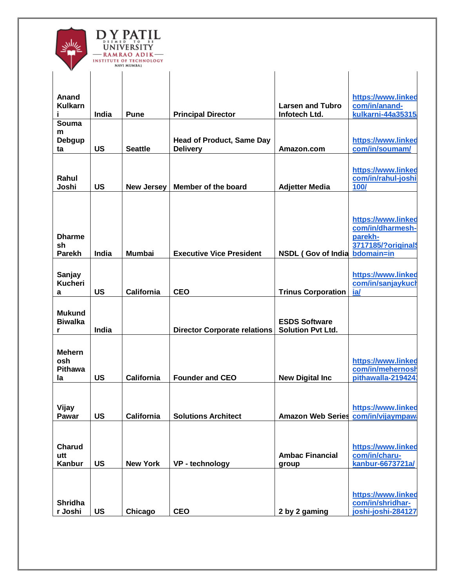

| v                                              |                    |                                    |                                                     |                                                        |                                                                        |
|------------------------------------------------|--------------------|------------------------------------|-----------------------------------------------------|--------------------------------------------------------|------------------------------------------------------------------------|
| Anand<br><b>Kulkarn</b><br>Ĩ                   | India              | <b>Pune</b>                        | <b>Principal Director</b>                           | <b>Larsen and Tubro</b><br>Infotech Ltd.               | https://www.linked<br>com/in/anand-<br>kulkarni-44a35315               |
| Souma<br>m<br>Debgup<br>ta                     | <b>US</b>          | <b>Seattle</b>                     | <b>Head of Product, Same Day</b><br><b>Delivery</b> | Amazon.com                                             | https://www.linked<br>com/in/soumam/                                   |
| Rahul<br>Joshi                                 | <b>US</b>          | <b>New Jersey</b>                  | Member of the board                                 | <b>Adjetter Media</b>                                  | https://www.linked<br>com/in/rahul-joshi<br>100/                       |
| <b>Dharme</b><br>sh                            |                    |                                    |                                                     |                                                        | https://www.linked<br>com/in/dharmesh-<br>parekh-<br>3717185/?original |
| <b>Parekh</b><br>Sanjay<br><b>Kucheri</b><br>a | India<br><b>US</b> | <b>Mumbai</b><br><b>California</b> | <b>Executive Vice President</b><br><b>CEO</b>       | <b>NSDL (Gov of India</b><br><b>Trinus Corporation</b> | bdomain=in<br>https://www.linked<br>com/in/sanjaykucl<br>ia/           |
| <b>Mukund</b><br><b>Biwalka</b><br>r           | India              |                                    | <b>Director Corporate relations</b>                 | <b>ESDS Software</b><br><b>Solution Pvt Ltd.</b>       |                                                                        |
| <b>Mehern</b><br>osh<br><b>Pithawa</b><br>la   | <b>US</b>          | <b>California</b>                  | <b>Founder and CEO</b>                              | <b>New Digital Inc.</b>                                | https://www.linked<br>com/in/mehernosl<br>pithawalla-219424            |
| Vijay<br>Pawar                                 | <b>US</b>          | <b>California</b>                  | <b>Solutions Architect</b>                          | Amazon Web Series com/in/vijaympaw                     | https://www.linked                                                     |
| <b>Charud</b><br>utt<br>Kanbur                 | <b>US</b>          | <b>New York</b>                    | VP - technology                                     | <b>Ambac Financial</b><br>group                        | https://www.linked<br>com/in/charu-<br>kanbur-6673721a/                |
| <b>Shridha</b><br>r Joshi                      | <b>US</b>          | Chicago                            | <b>CEO</b>                                          | 2 by 2 gaming                                          | https://www.linked<br>com/in/shridhar-<br>joshi-joshi-284127           |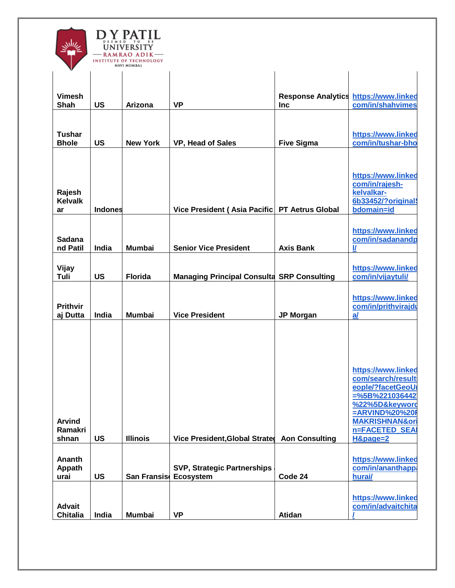

| v               |                |                     |                                                   |                                              |                                       |
|-----------------|----------------|---------------------|---------------------------------------------------|----------------------------------------------|---------------------------------------|
|                 |                |                     |                                                   |                                              |                                       |
|                 |                |                     |                                                   |                                              |                                       |
| <b>Vimesh</b>   |                |                     |                                                   | <b>Response Analytics https://www.linked</b> |                                       |
| <b>Shah</b>     | <b>US</b>      | <b>Arizona</b>      | <b>VP</b>                                         | <b>Inc</b>                                   | com/in/shahvimes                      |
|                 |                |                     |                                                   |                                              |                                       |
|                 |                |                     |                                                   |                                              |                                       |
| <b>Tushar</b>   |                |                     |                                                   |                                              | https://www.linked                    |
| <b>Bhole</b>    | <b>US</b>      | <b>New York</b>     | VP, Head of Sales                                 | <b>Five Sigma</b>                            | com/in/tushar-bho                     |
|                 |                |                     |                                                   |                                              |                                       |
|                 |                |                     |                                                   |                                              |                                       |
|                 |                |                     |                                                   |                                              | https://www.linked                    |
|                 |                |                     |                                                   |                                              | com/in/rajesh-                        |
| Rajesh          |                |                     |                                                   |                                              | kelvalkar-                            |
| <b>Kelvalk</b>  |                |                     |                                                   |                                              | 6b33452/?original                     |
| ar              | <b>Indones</b> |                     | Vice President (Asia Pacific   PT Aetrus Global   |                                              | bdomain=id                            |
|                 |                |                     |                                                   |                                              |                                       |
|                 |                |                     |                                                   |                                              | https://www.linked                    |
| <b>Sadana</b>   |                |                     |                                                   |                                              | com/in/sadanandp                      |
| nd Patil        | India          | <b>Mumbai</b>       | <b>Senior Vice President</b>                      | <b>Axis Bank</b>                             | $\mathbf{U}$                          |
|                 |                |                     |                                                   |                                              |                                       |
| Vijay           |                |                     |                                                   |                                              | https://www.linked                    |
| Tuli            | <b>US</b>      | <b>Florida</b>      | <b>Managing Principal Consulta SRP Consulting</b> |                                              | com/in/vijaytuli/                     |
|                 |                |                     |                                                   |                                              |                                       |
|                 |                |                     |                                                   |                                              | https://www.linked                    |
| <b>Prithvir</b> |                |                     |                                                   |                                              | com/in/prithvirajdu                   |
| aj Dutta        | India          | <b>Mumbai</b>       | <b>Vice President</b>                             | <b>JP Morgan</b>                             | a                                     |
|                 |                |                     |                                                   |                                              |                                       |
|                 |                |                     |                                                   |                                              |                                       |
|                 |                |                     |                                                   |                                              |                                       |
|                 |                |                     |                                                   |                                              |                                       |
|                 |                |                     |                                                   |                                              |                                       |
|                 |                |                     |                                                   |                                              | https://www.linked                    |
|                 |                |                     |                                                   |                                              | com/search/result<br>eople/?facetGeoU |
|                 |                |                     |                                                   |                                              | $=$ %5B%221036442                     |
|                 |                |                     |                                                   |                                              | %22%5D&keyword                        |
|                 |                |                     |                                                   |                                              | =ARVIND%20%20F                        |
| <b>Arvind</b>   |                |                     |                                                   |                                              | <b>MAKRISHNAN&amp;ori</b>             |
| Ramakri         |                |                     |                                                   |                                              | <b>n=FACETED SEA</b>                  |
| shnan           | <b>US</b>      | <b>Illinois</b>     | <b>Vice President, Global Strated</b>             | <b>Aon Consulting</b>                        | H&page=2                              |
|                 |                |                     |                                                   |                                              |                                       |
| Ananth          |                |                     |                                                   |                                              | https://www.linked                    |
| Appath          |                |                     | <b>SVP, Strategic Partnerships</b>                |                                              | com/in/ananthapp                      |
| urai            | <b>US</b>      | <b>San Fransiso</b> | Ecosystem                                         | Code 24                                      | hurai/                                |
|                 |                |                     |                                                   |                                              |                                       |
|                 |                |                     |                                                   |                                              | https://www.linked                    |
| <b>Advait</b>   |                |                     |                                                   |                                              | com/in/advaitchita                    |
| <b>Chitalia</b> | India          | <b>Mumbai</b>       | <b>VP</b>                                         | Atidan                                       |                                       |
|                 |                |                     |                                                   |                                              |                                       |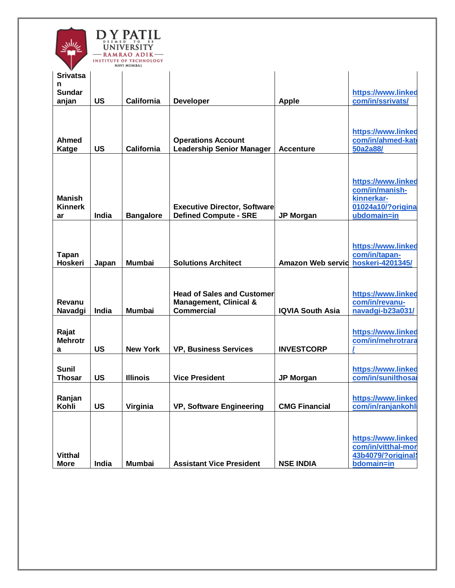

|                 |           | NAVI MUMBAI       |                                     |                          |                    |
|-----------------|-----------|-------------------|-------------------------------------|--------------------------|--------------------|
| <b>Srivatsa</b> |           |                   |                                     |                          |                    |
| n               |           |                   |                                     |                          |                    |
| <b>Sundar</b>   |           |                   |                                     |                          | https://www.linked |
|                 |           |                   |                                     |                          |                    |
| anjan           | <b>US</b> | <b>California</b> | <b>Developer</b>                    | <b>Apple</b>             | com/in/ssrivats/   |
|                 |           |                   |                                     |                          |                    |
|                 |           |                   |                                     |                          |                    |
|                 |           |                   |                                     |                          | https://www.linked |
| Ahmed           |           |                   | <b>Operations Account</b>           |                          | com/in/ahmed-kat   |
| Katge           | <b>US</b> | California        | <b>Leadership Senior Manager</b>    | <b>Accenture</b>         | 50a2a88/           |
|                 |           |                   |                                     |                          |                    |
|                 |           |                   |                                     |                          |                    |
|                 |           |                   |                                     |                          |                    |
|                 |           |                   |                                     |                          | https://www.linked |
|                 |           |                   |                                     |                          |                    |
|                 |           |                   |                                     |                          | com/in/manish-     |
| <b>Manish</b>   |           |                   |                                     |                          | kinnerkar-         |
| <b>Kinnerk</b>  |           |                   | <b>Executive Director, Software</b> |                          | 01024a10/?origina  |
| ar              | India     | <b>Bangalore</b>  | <b>Defined Compute - SRE</b>        | <b>JP Morgan</b>         | ubdomain=in        |
|                 |           |                   |                                     |                          |                    |
|                 |           |                   |                                     |                          |                    |
|                 |           |                   |                                     |                          |                    |
|                 |           |                   |                                     |                          | https://www.linked |
| <b>Tapan</b>    |           |                   |                                     |                          | com/in/tapan-      |
| <b>Hoskeri</b>  | Japan     | <b>Mumbai</b>     | <b>Solutions Architect</b>          | <b>Amazon Web servid</b> | hoskeri-4201345/   |
|                 |           |                   |                                     |                          |                    |
|                 |           |                   |                                     |                          |                    |
|                 |           |                   |                                     |                          |                    |
|                 |           |                   | <b>Head of Sales and Customer</b>   |                          | https://www.linked |
| Revanu          |           |                   |                                     |                          | com/in/revanu-     |
|                 |           |                   | <b>Management, Clinical &amp;</b>   |                          |                    |
| Navadgi         | India     | <b>Mumbai</b>     | <b>Commercial</b>                   | <b>IQVIA South Asia</b>  | navadgi-b23a031/   |
|                 |           |                   |                                     |                          |                    |
| Rajat           |           |                   |                                     |                          | https://www.linked |
|                 |           |                   |                                     |                          |                    |
| <b>Mehrotr</b>  |           |                   |                                     |                          | com/in/mehrotrara  |
| а               | <b>US</b> | <b>New York</b>   | <b>VP, Business Services</b>        | <b>INVESTCORP</b>        |                    |
|                 |           |                   |                                     |                          |                    |
| <b>Sunil</b>    |           |                   |                                     |                          | https://www.linked |
| <b>Thosar</b>   | <b>US</b> | <b>Illinois</b>   | <b>Vice President</b>               | <b>JP Morgan</b>         | com/in/sunilthosal |
|                 |           |                   |                                     |                          |                    |
|                 |           |                   |                                     |                          |                    |
| Ranjan          |           |                   |                                     |                          | https://www.linked |
| Kohli           | <b>US</b> | Virginia          | VP, Software Engineering            | <b>CMG Financial</b>     | com/in/ranjankohli |
|                 |           |                   |                                     |                          |                    |
|                 |           |                   |                                     |                          |                    |
|                 |           |                   |                                     |                          |                    |
|                 |           |                   |                                     |                          | https://www.linked |
|                 |           |                   |                                     |                          |                    |
|                 |           |                   |                                     |                          | com/in/vitthal-mor |
| <b>Vitthal</b>  |           |                   |                                     |                          | 43b4079/?original  |
| <b>More</b>     | India     | <b>Mumbai</b>     | <b>Assistant Vice President</b>     | <b>NSE INDIA</b>         | bdomain=in         |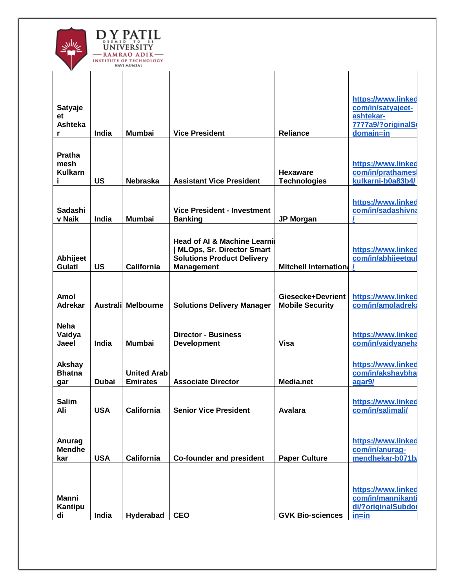| D<br>T O<br>UNIVERSITY<br>RAMRAO ADIK-<br><b>INSTITUTE OF TECHNOLOGY</b><br>NAVI MUMBAI |
|-----------------------------------------------------------------------------------------|
|                                                                                         |

| v                                           |                 |                                       |                                                                                                                                 |                                             |                                                                                         |
|---------------------------------------------|-----------------|---------------------------------------|---------------------------------------------------------------------------------------------------------------------------------|---------------------------------------------|-----------------------------------------------------------------------------------------|
| <b>Satyaje</b><br>et<br><b>Ashteka</b><br>r | India           | <b>Mumbai</b>                         | <b>Vice President</b>                                                                                                           | <b>Reliance</b>                             | https://www.linked<br>com/in/satyajeet-<br>ashtekar-<br>7777a9/?originalSt<br>domain=in |
| <b>Pratha</b><br>mesh<br><b>Kulkarn</b>     | <b>US</b>       | <b>Nebraska</b>                       | <b>Assistant Vice President</b>                                                                                                 | <b>Hexaware</b><br><b>Technologies</b>      | https://www.linked<br>com/in/prathames<br>kulkarni-b0a83b4/                             |
| <b>Sadashi</b><br>v Naik                    | India           | <b>Mumbai</b>                         | <b>Vice President - Investment</b><br><b>Banking</b>                                                                            | <b>JP Morgan</b>                            | https://www.linked<br>com/in/sadashivna                                                 |
| Abhijeet<br>Gulati                          | <b>US</b>       | California                            | <b>Head of AI &amp; Machine Learni</b><br>  MLOps, Sr. Director Smart<br><b>Solutions Product Delivery</b><br><b>Management</b> | <b>Mitchell Internation:</b>                | https://www.linked<br>com/in/abhijeetgul                                                |
| Amol<br><b>Adrekar</b>                      | <b>Australi</b> | <b>Melbourne</b>                      | <b>Solutions Delivery Manager</b>                                                                                               | Giesecke+Devrient<br><b>Mobile Security</b> | https://www.linked<br>com/in/amoladreka                                                 |
| <b>Neha</b><br>Vaidya<br>Jaeel              | India           | <b>Mumbai</b>                         | <b>Director - Business</b><br><b>Development</b>                                                                                | <b>Visa</b>                                 | https://www.linked<br>com/in/vaidyaneha                                                 |
| <b>Akshay</b><br><b>Bhatna</b><br>gar       | <b>Dubai</b>    | <b>United Arab</b><br><b>Emirates</b> | <b>Associate Director</b>                                                                                                       | Media.net                                   | https://www.linked<br>com/in/akshaybha<br>agar9/                                        |
| <b>Salim</b><br>Ali                         | <b>USA</b>      | <b>California</b>                     | <b>Senior Vice President</b>                                                                                                    | <b>Avalara</b>                              | https://www.linked<br>com/in/salimali/                                                  |
| Anurag<br><b>Mendhe</b><br>kar              | <b>USA</b>      | <b>California</b>                     | <b>Co-founder and president</b>                                                                                                 | <b>Paper Culture</b>                        | https://www.linked<br>com/in/anurag-<br>mendhekar-b071b                                 |
| <b>Manni</b><br>Kantipu<br>di               | India           | Hyderabad                             | <b>CEO</b>                                                                                                                      | <b>GVK Bio-sciences</b>                     | https://www.linked<br>com/in/mannikanti<br>di/?originalSubdor<br>$in = in$              |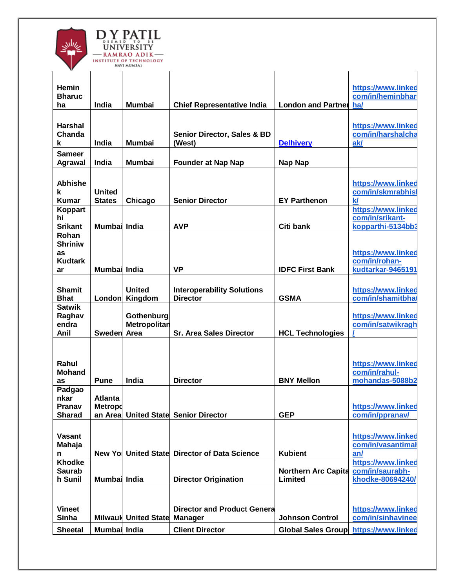

| https://www.linked<br><b>Hemin</b><br>com/in/heminbhar<br><b>Bharuc</b><br>India<br><b>Mumbai</b><br><b>London and Partner</b><br>ha/<br><b>Chief Representative India</b><br>ha<br><b>Harshal</b><br>https://www.linked<br>com/in/harshalcha<br>Chanda<br><b>Senior Director, Sales &amp; BD</b><br>ak/<br>India<br><b>Mumbai</b><br>(West)<br><b>Delhivery</b><br>k<br><b>Sameer</b><br>India<br><b>Founder at Nap Nap</b><br>Nap Nap<br><b>Agrawal</b><br>Mumbai<br><b>Abhishe</b><br>https://www.linked<br>com/in/skmrabhisl<br><b>United</b><br>k<br>$\mathsf{k}$<br><b>States</b><br><b>Senior Director</b><br>Kumar<br>Chicago<br><b>EY Parthenon</b><br>https://www.linked<br>Koppart<br>com/in/srikant-<br>hi<br><b>Srikant</b><br>kopparthi-5134bb3<br>Mumbai India<br><b>AVP</b><br>Citi bank<br>Rohan<br><b>Shriniw</b><br>https://www.linked<br>as<br>com/in/rohan-<br><b>Kudtark</b><br><b>VP</b><br>kudtarkar-9465191<br><b>IDFC First Bank</b><br>Mumbai India<br>ar<br><b>Shamit</b><br><b>United</b><br>https://www.linked<br><b>Interoperability Solutions</b><br>com/in/shamitbhat<br><b>GSMA</b><br><b>Bhat</b><br>Kingdom<br>London<br><b>Director</b><br><b>Satwik</b><br>https://www.linked<br>Raghav<br>Gothenburg<br>com/in/satwikragh<br>Metropolitan<br>endra<br>Anil<br><b>Sweden</b><br><b>Sr. Area Sales Director</b><br><b>HCL Technologies</b><br>Area<br>Rahul<br>https://www.linked<br><b>Mohand</b><br>com/in/rahul-<br>India<br><b>Director</b><br><b>BNY Mellon</b><br>mohandas-5088b2<br><b>Pune</b><br>as<br>Padgao<br>nkar<br>Atlanta<br>Pranav<br><b>Metropo</b><br>https://www.linked<br>an Area<br><b>United State Senior Director</b><br><b>GEP</b><br>com/in/ppranav/<br><b>Sharad</b><br>Vasant<br>https://www.linked<br>Mahaja<br>com/in/vasantimal<br>New Yo United State Director of Data Science<br><b>Kubient</b><br>an/<br>n<br><b>Khodke</b><br>https://www.linked<br>com/in/saurabh-<br><b>Saurab</b><br><b>Northern Arc Capita</b><br>Mumbai India<br><b>Director Origination</b><br>Limited<br>khodke-80694240/<br>h Sunil<br><b>Vineet</b><br><b>Director and Product Genera</b><br>https://www.linked<br>Sinha<br><b>Milwauk United State</b><br>com/in/sinhavinee<br><b>Johnson Control</b><br><b>Manager</b><br><b>Sheetal</b><br>Mumbai India<br><b>Client Director</b><br><b>Global Sales Group</b><br>https://www.linked | v |  |  |  |
|------------------------------------------------------------------------------------------------------------------------------------------------------------------------------------------------------------------------------------------------------------------------------------------------------------------------------------------------------------------------------------------------------------------------------------------------------------------------------------------------------------------------------------------------------------------------------------------------------------------------------------------------------------------------------------------------------------------------------------------------------------------------------------------------------------------------------------------------------------------------------------------------------------------------------------------------------------------------------------------------------------------------------------------------------------------------------------------------------------------------------------------------------------------------------------------------------------------------------------------------------------------------------------------------------------------------------------------------------------------------------------------------------------------------------------------------------------------------------------------------------------------------------------------------------------------------------------------------------------------------------------------------------------------------------------------------------------------------------------------------------------------------------------------------------------------------------------------------------------------------------------------------------------------------------------------------------------------------------------------------------------------------------------------------------------------------------------------------------------------------------------------------------------------------------------------------------------------------------------------------------------------------------------------------------------------------------------------------------------------------------------------|---|--|--|--|
|                                                                                                                                                                                                                                                                                                                                                                                                                                                                                                                                                                                                                                                                                                                                                                                                                                                                                                                                                                                                                                                                                                                                                                                                                                                                                                                                                                                                                                                                                                                                                                                                                                                                                                                                                                                                                                                                                                                                                                                                                                                                                                                                                                                                                                                                                                                                                                                          |   |  |  |  |
|                                                                                                                                                                                                                                                                                                                                                                                                                                                                                                                                                                                                                                                                                                                                                                                                                                                                                                                                                                                                                                                                                                                                                                                                                                                                                                                                                                                                                                                                                                                                                                                                                                                                                                                                                                                                                                                                                                                                                                                                                                                                                                                                                                                                                                                                                                                                                                                          |   |  |  |  |
|                                                                                                                                                                                                                                                                                                                                                                                                                                                                                                                                                                                                                                                                                                                                                                                                                                                                                                                                                                                                                                                                                                                                                                                                                                                                                                                                                                                                                                                                                                                                                                                                                                                                                                                                                                                                                                                                                                                                                                                                                                                                                                                                                                                                                                                                                                                                                                                          |   |  |  |  |
|                                                                                                                                                                                                                                                                                                                                                                                                                                                                                                                                                                                                                                                                                                                                                                                                                                                                                                                                                                                                                                                                                                                                                                                                                                                                                                                                                                                                                                                                                                                                                                                                                                                                                                                                                                                                                                                                                                                                                                                                                                                                                                                                                                                                                                                                                                                                                                                          |   |  |  |  |
|                                                                                                                                                                                                                                                                                                                                                                                                                                                                                                                                                                                                                                                                                                                                                                                                                                                                                                                                                                                                                                                                                                                                                                                                                                                                                                                                                                                                                                                                                                                                                                                                                                                                                                                                                                                                                                                                                                                                                                                                                                                                                                                                                                                                                                                                                                                                                                                          |   |  |  |  |
|                                                                                                                                                                                                                                                                                                                                                                                                                                                                                                                                                                                                                                                                                                                                                                                                                                                                                                                                                                                                                                                                                                                                                                                                                                                                                                                                                                                                                                                                                                                                                                                                                                                                                                                                                                                                                                                                                                                                                                                                                                                                                                                                                                                                                                                                                                                                                                                          |   |  |  |  |
|                                                                                                                                                                                                                                                                                                                                                                                                                                                                                                                                                                                                                                                                                                                                                                                                                                                                                                                                                                                                                                                                                                                                                                                                                                                                                                                                                                                                                                                                                                                                                                                                                                                                                                                                                                                                                                                                                                                                                                                                                                                                                                                                                                                                                                                                                                                                                                                          |   |  |  |  |
|                                                                                                                                                                                                                                                                                                                                                                                                                                                                                                                                                                                                                                                                                                                                                                                                                                                                                                                                                                                                                                                                                                                                                                                                                                                                                                                                                                                                                                                                                                                                                                                                                                                                                                                                                                                                                                                                                                                                                                                                                                                                                                                                                                                                                                                                                                                                                                                          |   |  |  |  |
|                                                                                                                                                                                                                                                                                                                                                                                                                                                                                                                                                                                                                                                                                                                                                                                                                                                                                                                                                                                                                                                                                                                                                                                                                                                                                                                                                                                                                                                                                                                                                                                                                                                                                                                                                                                                                                                                                                                                                                                                                                                                                                                                                                                                                                                                                                                                                                                          |   |  |  |  |
|                                                                                                                                                                                                                                                                                                                                                                                                                                                                                                                                                                                                                                                                                                                                                                                                                                                                                                                                                                                                                                                                                                                                                                                                                                                                                                                                                                                                                                                                                                                                                                                                                                                                                                                                                                                                                                                                                                                                                                                                                                                                                                                                                                                                                                                                                                                                                                                          |   |  |  |  |
|                                                                                                                                                                                                                                                                                                                                                                                                                                                                                                                                                                                                                                                                                                                                                                                                                                                                                                                                                                                                                                                                                                                                                                                                                                                                                                                                                                                                                                                                                                                                                                                                                                                                                                                                                                                                                                                                                                                                                                                                                                                                                                                                                                                                                                                                                                                                                                                          |   |  |  |  |
|                                                                                                                                                                                                                                                                                                                                                                                                                                                                                                                                                                                                                                                                                                                                                                                                                                                                                                                                                                                                                                                                                                                                                                                                                                                                                                                                                                                                                                                                                                                                                                                                                                                                                                                                                                                                                                                                                                                                                                                                                                                                                                                                                                                                                                                                                                                                                                                          |   |  |  |  |
|                                                                                                                                                                                                                                                                                                                                                                                                                                                                                                                                                                                                                                                                                                                                                                                                                                                                                                                                                                                                                                                                                                                                                                                                                                                                                                                                                                                                                                                                                                                                                                                                                                                                                                                                                                                                                                                                                                                                                                                                                                                                                                                                                                                                                                                                                                                                                                                          |   |  |  |  |
|                                                                                                                                                                                                                                                                                                                                                                                                                                                                                                                                                                                                                                                                                                                                                                                                                                                                                                                                                                                                                                                                                                                                                                                                                                                                                                                                                                                                                                                                                                                                                                                                                                                                                                                                                                                                                                                                                                                                                                                                                                                                                                                                                                                                                                                                                                                                                                                          |   |  |  |  |
|                                                                                                                                                                                                                                                                                                                                                                                                                                                                                                                                                                                                                                                                                                                                                                                                                                                                                                                                                                                                                                                                                                                                                                                                                                                                                                                                                                                                                                                                                                                                                                                                                                                                                                                                                                                                                                                                                                                                                                                                                                                                                                                                                                                                                                                                                                                                                                                          |   |  |  |  |
|                                                                                                                                                                                                                                                                                                                                                                                                                                                                                                                                                                                                                                                                                                                                                                                                                                                                                                                                                                                                                                                                                                                                                                                                                                                                                                                                                                                                                                                                                                                                                                                                                                                                                                                                                                                                                                                                                                                                                                                                                                                                                                                                                                                                                                                                                                                                                                                          |   |  |  |  |
|                                                                                                                                                                                                                                                                                                                                                                                                                                                                                                                                                                                                                                                                                                                                                                                                                                                                                                                                                                                                                                                                                                                                                                                                                                                                                                                                                                                                                                                                                                                                                                                                                                                                                                                                                                                                                                                                                                                                                                                                                                                                                                                                                                                                                                                                                                                                                                                          |   |  |  |  |
|                                                                                                                                                                                                                                                                                                                                                                                                                                                                                                                                                                                                                                                                                                                                                                                                                                                                                                                                                                                                                                                                                                                                                                                                                                                                                                                                                                                                                                                                                                                                                                                                                                                                                                                                                                                                                                                                                                                                                                                                                                                                                                                                                                                                                                                                                                                                                                                          |   |  |  |  |
|                                                                                                                                                                                                                                                                                                                                                                                                                                                                                                                                                                                                                                                                                                                                                                                                                                                                                                                                                                                                                                                                                                                                                                                                                                                                                                                                                                                                                                                                                                                                                                                                                                                                                                                                                                                                                                                                                                                                                                                                                                                                                                                                                                                                                                                                                                                                                                                          |   |  |  |  |
|                                                                                                                                                                                                                                                                                                                                                                                                                                                                                                                                                                                                                                                                                                                                                                                                                                                                                                                                                                                                                                                                                                                                                                                                                                                                                                                                                                                                                                                                                                                                                                                                                                                                                                                                                                                                                                                                                                                                                                                                                                                                                                                                                                                                                                                                                                                                                                                          |   |  |  |  |
|                                                                                                                                                                                                                                                                                                                                                                                                                                                                                                                                                                                                                                                                                                                                                                                                                                                                                                                                                                                                                                                                                                                                                                                                                                                                                                                                                                                                                                                                                                                                                                                                                                                                                                                                                                                                                                                                                                                                                                                                                                                                                                                                                                                                                                                                                                                                                                                          |   |  |  |  |
|                                                                                                                                                                                                                                                                                                                                                                                                                                                                                                                                                                                                                                                                                                                                                                                                                                                                                                                                                                                                                                                                                                                                                                                                                                                                                                                                                                                                                                                                                                                                                                                                                                                                                                                                                                                                                                                                                                                                                                                                                                                                                                                                                                                                                                                                                                                                                                                          |   |  |  |  |
|                                                                                                                                                                                                                                                                                                                                                                                                                                                                                                                                                                                                                                                                                                                                                                                                                                                                                                                                                                                                                                                                                                                                                                                                                                                                                                                                                                                                                                                                                                                                                                                                                                                                                                                                                                                                                                                                                                                                                                                                                                                                                                                                                                                                                                                                                                                                                                                          |   |  |  |  |
|                                                                                                                                                                                                                                                                                                                                                                                                                                                                                                                                                                                                                                                                                                                                                                                                                                                                                                                                                                                                                                                                                                                                                                                                                                                                                                                                                                                                                                                                                                                                                                                                                                                                                                                                                                                                                                                                                                                                                                                                                                                                                                                                                                                                                                                                                                                                                                                          |   |  |  |  |
|                                                                                                                                                                                                                                                                                                                                                                                                                                                                                                                                                                                                                                                                                                                                                                                                                                                                                                                                                                                                                                                                                                                                                                                                                                                                                                                                                                                                                                                                                                                                                                                                                                                                                                                                                                                                                                                                                                                                                                                                                                                                                                                                                                                                                                                                                                                                                                                          |   |  |  |  |
|                                                                                                                                                                                                                                                                                                                                                                                                                                                                                                                                                                                                                                                                                                                                                                                                                                                                                                                                                                                                                                                                                                                                                                                                                                                                                                                                                                                                                                                                                                                                                                                                                                                                                                                                                                                                                                                                                                                                                                                                                                                                                                                                                                                                                                                                                                                                                                                          |   |  |  |  |
|                                                                                                                                                                                                                                                                                                                                                                                                                                                                                                                                                                                                                                                                                                                                                                                                                                                                                                                                                                                                                                                                                                                                                                                                                                                                                                                                                                                                                                                                                                                                                                                                                                                                                                                                                                                                                                                                                                                                                                                                                                                                                                                                                                                                                                                                                                                                                                                          |   |  |  |  |
|                                                                                                                                                                                                                                                                                                                                                                                                                                                                                                                                                                                                                                                                                                                                                                                                                                                                                                                                                                                                                                                                                                                                                                                                                                                                                                                                                                                                                                                                                                                                                                                                                                                                                                                                                                                                                                                                                                                                                                                                                                                                                                                                                                                                                                                                                                                                                                                          |   |  |  |  |
|                                                                                                                                                                                                                                                                                                                                                                                                                                                                                                                                                                                                                                                                                                                                                                                                                                                                                                                                                                                                                                                                                                                                                                                                                                                                                                                                                                                                                                                                                                                                                                                                                                                                                                                                                                                                                                                                                                                                                                                                                                                                                                                                                                                                                                                                                                                                                                                          |   |  |  |  |
|                                                                                                                                                                                                                                                                                                                                                                                                                                                                                                                                                                                                                                                                                                                                                                                                                                                                                                                                                                                                                                                                                                                                                                                                                                                                                                                                                                                                                                                                                                                                                                                                                                                                                                                                                                                                                                                                                                                                                                                                                                                                                                                                                                                                                                                                                                                                                                                          |   |  |  |  |
|                                                                                                                                                                                                                                                                                                                                                                                                                                                                                                                                                                                                                                                                                                                                                                                                                                                                                                                                                                                                                                                                                                                                                                                                                                                                                                                                                                                                                                                                                                                                                                                                                                                                                                                                                                                                                                                                                                                                                                                                                                                                                                                                                                                                                                                                                                                                                                                          |   |  |  |  |
|                                                                                                                                                                                                                                                                                                                                                                                                                                                                                                                                                                                                                                                                                                                                                                                                                                                                                                                                                                                                                                                                                                                                                                                                                                                                                                                                                                                                                                                                                                                                                                                                                                                                                                                                                                                                                                                                                                                                                                                                                                                                                                                                                                                                                                                                                                                                                                                          |   |  |  |  |
|                                                                                                                                                                                                                                                                                                                                                                                                                                                                                                                                                                                                                                                                                                                                                                                                                                                                                                                                                                                                                                                                                                                                                                                                                                                                                                                                                                                                                                                                                                                                                                                                                                                                                                                                                                                                                                                                                                                                                                                                                                                                                                                                                                                                                                                                                                                                                                                          |   |  |  |  |
|                                                                                                                                                                                                                                                                                                                                                                                                                                                                                                                                                                                                                                                                                                                                                                                                                                                                                                                                                                                                                                                                                                                                                                                                                                                                                                                                                                                                                                                                                                                                                                                                                                                                                                                                                                                                                                                                                                                                                                                                                                                                                                                                                                                                                                                                                                                                                                                          |   |  |  |  |
|                                                                                                                                                                                                                                                                                                                                                                                                                                                                                                                                                                                                                                                                                                                                                                                                                                                                                                                                                                                                                                                                                                                                                                                                                                                                                                                                                                                                                                                                                                                                                                                                                                                                                                                                                                                                                                                                                                                                                                                                                                                                                                                                                                                                                                                                                                                                                                                          |   |  |  |  |
|                                                                                                                                                                                                                                                                                                                                                                                                                                                                                                                                                                                                                                                                                                                                                                                                                                                                                                                                                                                                                                                                                                                                                                                                                                                                                                                                                                                                                                                                                                                                                                                                                                                                                                                                                                                                                                                                                                                                                                                                                                                                                                                                                                                                                                                                                                                                                                                          |   |  |  |  |
|                                                                                                                                                                                                                                                                                                                                                                                                                                                                                                                                                                                                                                                                                                                                                                                                                                                                                                                                                                                                                                                                                                                                                                                                                                                                                                                                                                                                                                                                                                                                                                                                                                                                                                                                                                                                                                                                                                                                                                                                                                                                                                                                                                                                                                                                                                                                                                                          |   |  |  |  |
|                                                                                                                                                                                                                                                                                                                                                                                                                                                                                                                                                                                                                                                                                                                                                                                                                                                                                                                                                                                                                                                                                                                                                                                                                                                                                                                                                                                                                                                                                                                                                                                                                                                                                                                                                                                                                                                                                                                                                                                                                                                                                                                                                                                                                                                                                                                                                                                          |   |  |  |  |
|                                                                                                                                                                                                                                                                                                                                                                                                                                                                                                                                                                                                                                                                                                                                                                                                                                                                                                                                                                                                                                                                                                                                                                                                                                                                                                                                                                                                                                                                                                                                                                                                                                                                                                                                                                                                                                                                                                                                                                                                                                                                                                                                                                                                                                                                                                                                                                                          |   |  |  |  |
|                                                                                                                                                                                                                                                                                                                                                                                                                                                                                                                                                                                                                                                                                                                                                                                                                                                                                                                                                                                                                                                                                                                                                                                                                                                                                                                                                                                                                                                                                                                                                                                                                                                                                                                                                                                                                                                                                                                                                                                                                                                                                                                                                                                                                                                                                                                                                                                          |   |  |  |  |
|                                                                                                                                                                                                                                                                                                                                                                                                                                                                                                                                                                                                                                                                                                                                                                                                                                                                                                                                                                                                                                                                                                                                                                                                                                                                                                                                                                                                                                                                                                                                                                                                                                                                                                                                                                                                                                                                                                                                                                                                                                                                                                                                                                                                                                                                                                                                                                                          |   |  |  |  |
|                                                                                                                                                                                                                                                                                                                                                                                                                                                                                                                                                                                                                                                                                                                                                                                                                                                                                                                                                                                                                                                                                                                                                                                                                                                                                                                                                                                                                                                                                                                                                                                                                                                                                                                                                                                                                                                                                                                                                                                                                                                                                                                                                                                                                                                                                                                                                                                          |   |  |  |  |
|                                                                                                                                                                                                                                                                                                                                                                                                                                                                                                                                                                                                                                                                                                                                                                                                                                                                                                                                                                                                                                                                                                                                                                                                                                                                                                                                                                                                                                                                                                                                                                                                                                                                                                                                                                                                                                                                                                                                                                                                                                                                                                                                                                                                                                                                                                                                                                                          |   |  |  |  |
|                                                                                                                                                                                                                                                                                                                                                                                                                                                                                                                                                                                                                                                                                                                                                                                                                                                                                                                                                                                                                                                                                                                                                                                                                                                                                                                                                                                                                                                                                                                                                                                                                                                                                                                                                                                                                                                                                                                                                                                                                                                                                                                                                                                                                                                                                                                                                                                          |   |  |  |  |
|                                                                                                                                                                                                                                                                                                                                                                                                                                                                                                                                                                                                                                                                                                                                                                                                                                                                                                                                                                                                                                                                                                                                                                                                                                                                                                                                                                                                                                                                                                                                                                                                                                                                                                                                                                                                                                                                                                                                                                                                                                                                                                                                                                                                                                                                                                                                                                                          |   |  |  |  |
|                                                                                                                                                                                                                                                                                                                                                                                                                                                                                                                                                                                                                                                                                                                                                                                                                                                                                                                                                                                                                                                                                                                                                                                                                                                                                                                                                                                                                                                                                                                                                                                                                                                                                                                                                                                                                                                                                                                                                                                                                                                                                                                                                                                                                                                                                                                                                                                          |   |  |  |  |
|                                                                                                                                                                                                                                                                                                                                                                                                                                                                                                                                                                                                                                                                                                                                                                                                                                                                                                                                                                                                                                                                                                                                                                                                                                                                                                                                                                                                                                                                                                                                                                                                                                                                                                                                                                                                                                                                                                                                                                                                                                                                                                                                                                                                                                                                                                                                                                                          |   |  |  |  |
|                                                                                                                                                                                                                                                                                                                                                                                                                                                                                                                                                                                                                                                                                                                                                                                                                                                                                                                                                                                                                                                                                                                                                                                                                                                                                                                                                                                                                                                                                                                                                                                                                                                                                                                                                                                                                                                                                                                                                                                                                                                                                                                                                                                                                                                                                                                                                                                          |   |  |  |  |
|                                                                                                                                                                                                                                                                                                                                                                                                                                                                                                                                                                                                                                                                                                                                                                                                                                                                                                                                                                                                                                                                                                                                                                                                                                                                                                                                                                                                                                                                                                                                                                                                                                                                                                                                                                                                                                                                                                                                                                                                                                                                                                                                                                                                                                                                                                                                                                                          |   |  |  |  |
|                                                                                                                                                                                                                                                                                                                                                                                                                                                                                                                                                                                                                                                                                                                                                                                                                                                                                                                                                                                                                                                                                                                                                                                                                                                                                                                                                                                                                                                                                                                                                                                                                                                                                                                                                                                                                                                                                                                                                                                                                                                                                                                                                                                                                                                                                                                                                                                          |   |  |  |  |
|                                                                                                                                                                                                                                                                                                                                                                                                                                                                                                                                                                                                                                                                                                                                                                                                                                                                                                                                                                                                                                                                                                                                                                                                                                                                                                                                                                                                                                                                                                                                                                                                                                                                                                                                                                                                                                                                                                                                                                                                                                                                                                                                                                                                                                                                                                                                                                                          |   |  |  |  |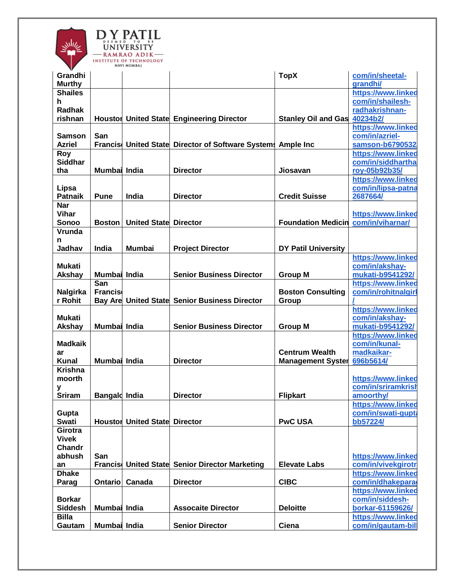

| Grandhi             |                       |                                      |                                                             | <b>TopX</b>                       | com/in/sheetal-                          |
|---------------------|-----------------------|--------------------------------------|-------------------------------------------------------------|-----------------------------------|------------------------------------------|
| <b>Murthy</b>       |                       |                                      |                                                             |                                   | <b>arandhi/</b>                          |
| <b>Shailes</b>      |                       |                                      |                                                             |                                   | https://www.linked                       |
| h.                  |                       |                                      |                                                             |                                   | com/in/shailesh-                         |
| <b>Radhak</b>       |                       |                                      |                                                             |                                   | radhakrishnan-<br>40234b2/               |
| rishnan             |                       |                                      | Houstor United State Engineering Director                   | <b>Stanley Oil and Gas</b>        |                                          |
| Samson              | San                   |                                      |                                                             |                                   | https://www.linked<br>com/in/azriel-     |
| <b>Azriel</b>       |                       |                                      | Francis United State Director of Software Systems Ample Inc |                                   | samson-b6790532                          |
| <b>Roy</b>          |                       |                                      |                                                             |                                   | https://www.linked                       |
| <b>Siddhar</b>      |                       |                                      |                                                             |                                   | com/in/siddhartha                        |
| tha                 | Mumbai India          |                                      | <b>Director</b>                                             | Jiosavan                          | roy-05b92b35/                            |
|                     |                       |                                      |                                                             |                                   | https://www.linked                       |
| Lipsa               |                       |                                      |                                                             |                                   | com/in/lipsa-patna                       |
| <b>Patnaik</b>      | <b>Pune</b>           | India                                | <b>Director</b>                                             | <b>Credit Suisse</b>              | 2687664/                                 |
| <b>Nar</b>          |                       |                                      |                                                             |                                   |                                          |
| <b>Vihar</b>        |                       |                                      |                                                             |                                   | https://www.linked                       |
| Sonoo               | <b>Boston</b>         | <b>United State Director</b>         |                                                             | <b>Foundation Medicin</b>         | com/in/viharnar/                         |
| <b>Vrunda</b>       |                       |                                      |                                                             |                                   |                                          |
| n                   |                       |                                      |                                                             |                                   |                                          |
| Jadhav              | India                 | <b>Mumbai</b>                        | <b>Project Director</b>                                     | <b>DY Patil University</b>        |                                          |
|                     |                       |                                      |                                                             |                                   | https://www.linked                       |
| <b>Mukati</b>       |                       |                                      |                                                             |                                   | com/in/akshay-                           |
| Akshay              | Mumbai India          |                                      | <b>Senior Business Director</b>                             | <b>Group M</b>                    | mukati-b9541292/                         |
|                     | San                   |                                      |                                                             |                                   | https://www.linked                       |
| Nalgirka<br>r Rohit | <b>Francis</b>        |                                      | <b>Bay Are United State Senior Business Director</b>        | <b>Boston Consulting</b><br>Group | com/in/rohitnalgirl                      |
|                     |                       |                                      |                                                             |                                   | https://www.linked                       |
| <b>Mukati</b>       |                       |                                      |                                                             |                                   | com/in/akshay-                           |
| Akshay              | Mumbai India          |                                      | <b>Senior Business Director</b>                             | <b>Group M</b>                    | mukati-b9541292/                         |
|                     |                       |                                      |                                                             |                                   | https://www.linked                       |
| <b>Madkaik</b>      |                       |                                      |                                                             |                                   | com/in/kunal-                            |
| ar                  |                       |                                      |                                                             | <b>Centrum Wealth</b>             | madkaikar-                               |
| <b>Kunal</b>        | Mumbai India          |                                      | <b>Director</b>                                             | <b>Management Syster</b>          | 696b5614/                                |
| <b>Krishna</b>      |                       |                                      |                                                             |                                   |                                          |
| moorth              |                       |                                      |                                                             |                                   | https://www.linked                       |
| у                   |                       |                                      |                                                             |                                   | com/in/sriramkrish                       |
| <b>Sriram</b>       | <b>Bangald India</b>  |                                      | <b>Director</b>                                             | <b>Flipkart</b>                   | amoorthy/                                |
|                     |                       |                                      |                                                             |                                   | https://www.linked                       |
| Gupta               |                       |                                      |                                                             |                                   | com/in/swati-gupta                       |
| <b>Swati</b>        |                       | <b>Houstor United State Director</b> |                                                             | <b>PwC USA</b>                    | bb57224/                                 |
| Girotra             |                       |                                      |                                                             |                                   |                                          |
| <b>Vivek</b>        |                       |                                      |                                                             |                                   |                                          |
| Chandr              |                       |                                      |                                                             |                                   |                                          |
| abhush<br>an        | San<br><b>Francis</b> |                                      | United State Senior Director Marketing                      | <b>Elevate Labs</b>               | https://www.linked<br>com/in/vivekgirotr |
| <b>Dhake</b>        |                       |                                      |                                                             |                                   | https://www.linked                       |
| Parag               | <b>Ontario</b>        | Canada                               | <b>Director</b>                                             | <b>CIBC</b>                       | com/in/dhakepara                         |
|                     |                       |                                      |                                                             |                                   | https://www.linked                       |
| <b>Borkar</b>       |                       |                                      |                                                             |                                   | com/in/siddesh-                          |
| <b>Siddesh</b>      | Mumbai India          |                                      | <b>Assocaite Director</b>                                   | <b>Deloitte</b>                   | borkar-61159626/                         |
| <b>Billa</b>        |                       |                                      |                                                             |                                   | https://www.linked                       |
| Gautam              | Mumbai India          |                                      | <b>Senior Director</b>                                      | Ciena                             | com/in/gautam-bill                       |
|                     |                       |                                      |                                                             |                                   |                                          |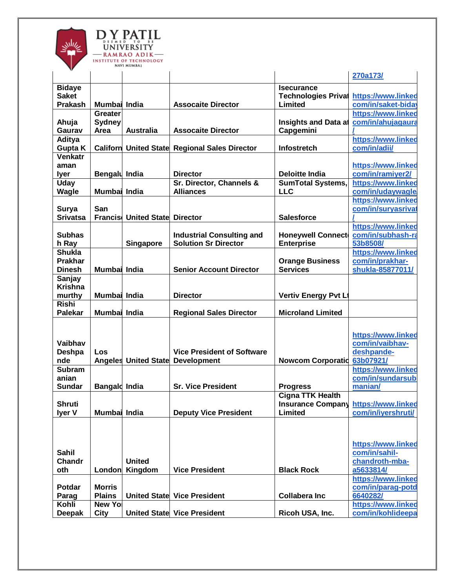

|                 |                      |                                      |                                                      |                             | 270a173/           |
|-----------------|----------------------|--------------------------------------|------------------------------------------------------|-----------------------------|--------------------|
| <b>Bidaye</b>   |                      |                                      |                                                      | <b>Isecurance</b>           |                    |
| <b>Saket</b>    |                      |                                      |                                                      | <b>Technologies Privat</b>  | https://www.linked |
| <b>Prakash</b>  | Mumbai India         |                                      | <b>Assocaite Director</b>                            | Limited                     | com/in/saket-biday |
|                 | <b>Greater</b>       |                                      |                                                      |                             | https://www.linked |
|                 |                      |                                      |                                                      |                             |                    |
| Ahuja           | <b>Sydney</b>        |                                      |                                                      | <b>Insights and Data at</b> | com/in/ahujagaura  |
| Gaurav          | Area                 | <b>Australia</b>                     | <b>Assocaite Director</b>                            | Capgemini                   |                    |
| <b>Aditya</b>   |                      |                                      |                                                      |                             | https://www.linked |
| <b>Gupta K</b>  |                      |                                      | <b>Californ United State Regional Sales Director</b> | <b>Infostretch</b>          | com/in/adii/       |
| Venkatr         |                      |                                      |                                                      |                             |                    |
| aman            |                      |                                      |                                                      |                             | https://www.linked |
| lyer            | Bengalu India        |                                      | <b>Director</b>                                      | <b>Deloitte India</b>       | com/in/ramiyer2/   |
| <b>Uday</b>     |                      |                                      | Sr. Director, Channels &                             | <b>SumTotal Systems,</b>    | https://www.linked |
| <b>Wagle</b>    | Mumbai India         |                                      | <b>Alliances</b>                                     | <b>LLC</b>                  | com/in/udaywagle   |
|                 |                      |                                      |                                                      |                             | https://www.linked |
| Surya           | San                  |                                      |                                                      |                             | com/in/suryasrival |
| <b>Srivatsa</b> |                      | <b>Francis United State Director</b> |                                                      | <b>Salesforce</b>           |                    |
|                 |                      |                                      |                                                      |                             | https://www.linked |
| <b>Subhas</b>   |                      |                                      | <b>Industrial Consulting and</b>                     | <b>Honeywell Connect</b>    | com/in/subhash-ra  |
| h Ray           |                      | <b>Singapore</b>                     | <b>Solution Sr Director</b>                          | <b>Enterprise</b>           | 53b8508/           |
| <b>Shukla</b>   |                      |                                      |                                                      |                             | https://www.linked |
| <b>Prakhar</b>  |                      |                                      |                                                      | <b>Orange Business</b>      | com/in/prakhar-    |
| <b>Dinesh</b>   | Mumbai India         |                                      | <b>Senior Account Director</b>                       | <b>Services</b>             | shukla-85877011/   |
| Sanjay          |                      |                                      |                                                      |                             |                    |
| <b>Krishna</b>  |                      |                                      |                                                      |                             |                    |
| murthy          | Mumbai India         |                                      | <b>Director</b>                                      | <b>Vertiv Energy Pvt Lt</b> |                    |
| <b>Rishi</b>    |                      |                                      |                                                      |                             |                    |
| <b>Palekar</b>  | Mumbai India         |                                      | <b>Regional Sales Director</b>                       | <b>Microland Limited</b>    |                    |
|                 |                      |                                      |                                                      |                             |                    |
|                 |                      |                                      |                                                      |                             |                    |
|                 |                      |                                      |                                                      |                             | https://www.linked |
| <b>Vaibhav</b>  |                      |                                      |                                                      |                             | com/in/vaibhav-    |
| Deshpa          | Los                  |                                      | <b>Vice President of Software</b>                    |                             | deshpande-         |
| nde             |                      |                                      | <b>Angeles United State Development</b>              | <b>Nowcom Corporatio</b>    | 63b07921/          |
| <b>Subram</b>   |                      |                                      |                                                      |                             | https://www.linked |
| anian           |                      |                                      |                                                      |                             | com/in/sundarsub   |
| <b>Sundar</b>   | <b>Bangald India</b> |                                      | <b>Sr. Vice President</b>                            | <b>Progress</b>             | manian/            |
|                 |                      |                                      |                                                      | <b>Cigna TTK Health</b>     |                    |
| <b>Shruti</b>   |                      |                                      |                                                      | <b>Insurance Company</b>    | https://www.linked |
| <b>Iyer V</b>   | Mumbai India         |                                      | <b>Deputy Vice President</b>                         | Limited                     | com/in/ivershruti/ |
|                 |                      |                                      |                                                      |                             |                    |
|                 |                      |                                      |                                                      |                             |                    |
|                 |                      |                                      |                                                      |                             |                    |
|                 |                      |                                      |                                                      |                             | https://www.linked |
| <b>Sahil</b>    |                      |                                      |                                                      |                             | com/in/sahil-      |
| Chandr          |                      | <b>United</b>                        |                                                      |                             | chandroth-mba-     |
| oth             | London               | Kingdom                              | <b>Vice President</b>                                | <b>Black Rock</b>           | a5633814/          |
|                 |                      |                                      |                                                      |                             | https://www.linked |
| <b>Potdar</b>   | <b>Morris</b>        |                                      |                                                      |                             | com/in/parag-potd  |
| Parag           | <b>Plains</b>        |                                      | <b>United State Vice President</b>                   | <b>Collabera Inc</b>        | 6640282/           |
| Kohli           | <b>New Yol</b>       |                                      |                                                      |                             | https://www.linked |
| <b>Deepak</b>   | City                 |                                      | <b>United State Vice President</b>                   | Ricoh USA, Inc.             | com/in/kohlideepa  |
|                 |                      |                                      |                                                      |                             |                    |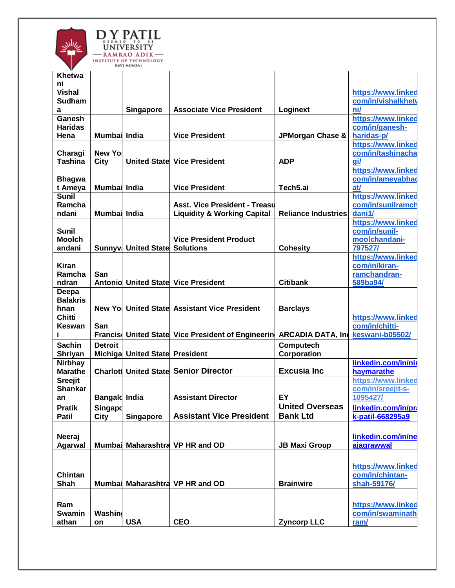

| V               |                      | NAVI MUMBAI                          |                                              |                                   |                     |
|-----------------|----------------------|--------------------------------------|----------------------------------------------|-----------------------------------|---------------------|
| Khetwa          |                      |                                      |                                              |                                   |                     |
| ni              |                      |                                      |                                              |                                   |                     |
| <b>Vishal</b>   |                      |                                      |                                              |                                   | https://www.linked  |
| <b>Sudham</b>   |                      |                                      |                                              |                                   | com/in/vishalkhet\  |
| a               |                      | Singapore                            | <b>Associate Vice President</b>              | Loginext                          | ni/                 |
| Ganesh          |                      |                                      |                                              |                                   | https://www.linked  |
| <b>Haridas</b>  |                      |                                      |                                              |                                   | com/in/ganesh-      |
| Hena            | Mumbai India         |                                      | <b>Vice President</b>                        | JPMorgan Chase &                  | haridas-p/          |
|                 |                      |                                      |                                              |                                   | https://www.linked  |
| Charagi         | New Yo               |                                      |                                              |                                   | com/in/tashinacha   |
| <b>Tashina</b>  |                      |                                      | <b>United State Vice President</b>           | <b>ADP</b>                        | gi/                 |
|                 | <b>City</b>          |                                      |                                              |                                   |                     |
|                 |                      |                                      |                                              |                                   | https://www.linked  |
| <b>Bhagwa</b>   |                      |                                      |                                              |                                   | com/in/ameyabhag    |
| t Ameya         | Mumbai India         |                                      | <b>Vice President</b>                        | Tech5.ai                          | at/                 |
| <b>Sunil</b>    |                      |                                      |                                              |                                   | https://www.linked  |
| Ramcha          |                      |                                      | <b>Asst. Vice President - Treasul</b>        |                                   | com/in/sunilramch   |
| ndani           | Mumbai India         |                                      | <b>Liquidity &amp; Working Capital</b>       | <b>Reliance Industries</b>        | dani1/              |
|                 |                      |                                      |                                              |                                   | https://www.linked  |
| Sunil           |                      |                                      |                                              |                                   | com/in/sunil-       |
| <b>Moolch</b>   |                      |                                      | <b>Vice President Product</b>                |                                   | moolchandani-       |
| andani          |                      | <b>Sunnyv United State Solutions</b> |                                              | <b>Cohesity</b>                   | 797527/             |
|                 |                      |                                      |                                              |                                   | https://www.linked  |
| <b>Kiran</b>    |                      |                                      |                                              |                                   | com/in/kiran-       |
| Ramcha          | San                  |                                      |                                              |                                   | ramchandran-        |
| ndran           |                      |                                      | <b>Antonio United State Vice President</b>   | <b>Citibank</b>                   | 589ba94/            |
|                 |                      |                                      |                                              |                                   |                     |
| Deepa           |                      |                                      |                                              |                                   |                     |
| <b>Balakris</b> |                      |                                      |                                              |                                   |                     |
| hnan            | New Yol              |                                      | United State Assistant Vice President        | <b>Barclays</b>                   |                     |
| <b>Chitti</b>   |                      |                                      |                                              |                                   | https://www.linked  |
| Keswan          | San                  |                                      |                                              |                                   | com/in/chitti-      |
|                 | <b>Francis</b>       |                                      | United State Vice President of Engineerin    | ARCADIA DATA, Ind keswani-b05502/ |                     |
| <b>Sachin</b>   | <b>Detroit</b>       |                                      |                                              | Computech                         |                     |
| Shriyan         | Michiga              | <b>United State President</b>        |                                              | Corporation                       |                     |
| <b>Nirbhay</b>  |                      |                                      |                                              |                                   | linkedin.com/in/nii |
| <b>Marathe</b>  |                      |                                      | <b>Charlott United State Senior Director</b> | <b>Excusia Inc</b>                | haymarathe          |
| <b>Sreejit</b>  |                      |                                      |                                              |                                   | https://www.linked  |
|                 |                      |                                      |                                              |                                   | com/in/sreejit-s-   |
| <b>Shankar</b>  |                      |                                      |                                              |                                   |                     |
| an              | <b>Bangald India</b> |                                      | <b>Assistant Director</b>                    | EY                                | 1095427/            |
| <b>Pratik</b>   | Singapo              |                                      |                                              | <b>United Overseas</b>            | linkedin.com/in/pra |
| Patil           | City                 | <b>Singapore</b>                     | <b>Assistant Vice President</b>              | <b>Bank Ltd</b>                   | k-patil-668295a9    |
|                 |                      |                                      |                                              |                                   |                     |
| Neeraj          |                      |                                      |                                              |                                   | linkedin.com/in/ne  |
| <b>Agarwal</b>  |                      |                                      | Mumbai Maharashtra VP HR and OD              | <b>JB Maxi Group</b>              | ajagrawwal          |
|                 |                      |                                      |                                              |                                   |                     |
|                 |                      |                                      |                                              |                                   |                     |
|                 |                      |                                      |                                              |                                   | https://www.linked  |
| Chintan         |                      |                                      |                                              |                                   | com/in/chintan-     |
| Shah            |                      |                                      | Mumbai Maharashtra VP HR and OD              | <b>Brainwire</b>                  | shah-59176/         |
|                 |                      |                                      |                                              |                                   |                     |
|                 |                      |                                      |                                              |                                   |                     |
| Ram             |                      |                                      |                                              |                                   | https://www.linked  |
| <b>Swamin</b>   | Washin               |                                      |                                              |                                   | com/in/swaminath    |
| athan           | on                   | <b>USA</b>                           | <b>CEO</b>                                   | <b>Zyncorp LLC</b>                | ram/                |
|                 |                      |                                      |                                              |                                   |                     |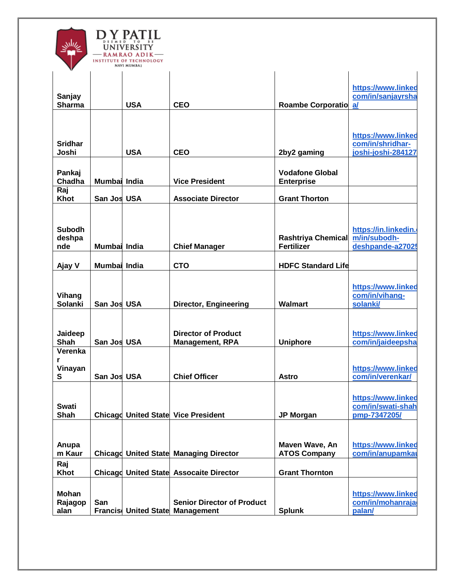

| v                              |              |            |                                                                             |                                                |                                                              |
|--------------------------------|--------------|------------|-----------------------------------------------------------------------------|------------------------------------------------|--------------------------------------------------------------|
| Sanjay<br><b>Sharma</b>        |              | <b>USA</b> | <b>CEO</b>                                                                  | <b>Roambe Corporatio</b>                       | https://www.linked<br>com/in/sanjayrsha<br>a                 |
| <b>Sridhar</b><br>Joshi        |              | <b>USA</b> | <b>CEO</b>                                                                  | 2by2 gaming                                    | https://www.linked<br>com/in/shridhar-<br>joshi-joshi-284127 |
|                                |              |            |                                                                             |                                                |                                                              |
| Pankaj<br>Chadha               | Mumbai India |            | <b>Vice President</b>                                                       | <b>Vodafone Global</b><br><b>Enterprise</b>    |                                                              |
| Raj<br>Khot                    | San Jos USA  |            | <b>Associate Director</b>                                                   | <b>Grant Thorton</b>                           |                                                              |
| <b>Subodh</b><br>deshpa<br>nde | Mumbai India |            | <b>Chief Manager</b>                                                        | <b>Rashtriya Chemical</b><br><b>Fertilizer</b> | https://in.linkedin.<br>m/in/subodh-<br>deshpande-a2702      |
| Ajay V                         | Mumbai India |            | <b>CTO</b>                                                                  | <b>HDFC Standard Life</b>                      |                                                              |
| Vihang<br><b>Solanki</b>       | San Jos USA  |            | <b>Director, Engineering</b>                                                | <b>Walmart</b>                                 | https://www.linked<br>com/in/vihang-<br>solanki/             |
| Jaideep<br>Shah                | San Jos USA  |            | <b>Director of Product</b><br><b>Management, RPA</b>                        | <b>Uniphore</b>                                | https://www.linked<br>com/in/jaideepsha                      |
| Verenka<br>r<br>Vinayan<br>S   | San Jos USA  |            | <b>Chief Officer</b>                                                        | <b>Astro</b>                                   | https://www.linked<br>com/in/verenkar/                       |
| <b>Swati</b><br>Shah           |              |            | <b>Chicagd United State Vice President</b>                                  | <b>JP Morgan</b>                               | https://www.linked<br>com/in/swati-shah<br>pmp-7347205/      |
| Anupa<br>m Kaur                |              |            | <b>Chicagd United State Managing Director</b>                               | Maven Wave, An<br><b>ATOS Company</b>          | https://www.linked<br>com/in/anupamkar                       |
| Raj<br>Khot                    |              |            | Chicago United State Assocaite Director                                     | <b>Grant Thornton</b>                          |                                                              |
| Mohan<br>Rajagop<br>alan       | San          |            | <b>Senior Director of Product</b><br><b>Francis United State Management</b> | <b>Splunk</b>                                  | https://www.linked<br>com/in/mohanraja<br>palan/             |